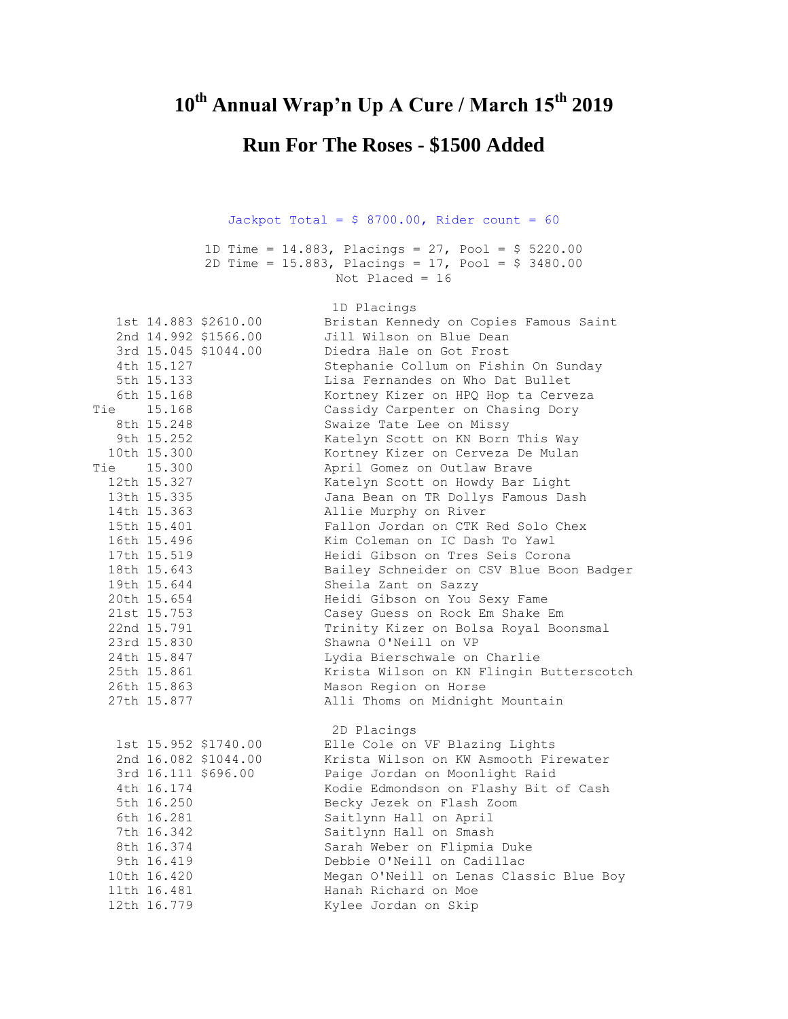## **10th Annual Wrap'n Up A Cure / March 15th 2019**

## **Run For The Roses - \$1500 Added**

## Jackpot Total =  $$ 8700.00$ , Rider count = 60

1D Time = 14.883, Placings = 27, Pool = \$ 5220.00 2D Time = 15.883, Placings = 17, Pool = \$ 3480.00 Not Placed = 16

|            |                          |                      | 1D Placings                                               |
|------------|--------------------------|----------------------|-----------------------------------------------------------|
|            |                          | 1st 14.883 \$2610.00 | Bristan Kennedy on Copies Famous Saint                    |
|            |                          | 2nd 14.992 \$1566.00 | Jill Wilson on Blue Dean                                  |
|            |                          | 3rd 15.045 \$1044.00 | Diedra Hale on Got Frost                                  |
|            | 4th 15.127               |                      | Stephanie Collum on Fishin On Sunday                      |
|            | 5th 15.133               |                      | Lisa Fernandes on Who Dat Bullet                          |
|            | 6th 15.168               |                      | Kortney Kizer on HPQ Hop ta Cerveza                       |
| Tie 15.168 |                          |                      | Cassidy Carpenter on Chasing Dory                         |
|            | 8th 15.248               |                      | Swaize Tate Lee on Missy                                  |
|            | 9th 15.252               |                      | Katelyn Scott on KN Born This Way                         |
|            | 10th 15.300              |                      | Kortney Kizer on Cerveza De Mulan                         |
| Tie 15.300 |                          |                      | April Gomez on Outlaw Brave                               |
|            | 12th 15.327              |                      | Katelyn Scott on Howdy Bar Light                          |
|            | 13th 15.335              |                      | Jana Bean on TR Dollys Famous Dash                        |
|            | 14th 15.363              |                      | Allie Murphy on River                                     |
|            | 15th 15.401              |                      | Fallon Jordan on CTK Red Solo Chex                        |
|            | 16th 15.496              |                      | Kim Coleman on IC Dash To Yawl                            |
|            | 17th 15.519              |                      | Heidi Gibson on Tres Seis Corona                          |
|            | 18th 15.643              |                      | Bailey Schneider on CSV Blue Boon Badger                  |
|            | 19th 15.644              |                      | Sheila Zant on Sazzy                                      |
|            | 20th 15.654              |                      | Heidi Gibson on You Sexy Fame                             |
|            | 21st 15.753              |                      | Casey Guess on Rock Em Shake Em                           |
|            | 22nd 15.791              |                      | Trinity Kizer on Bolsa Royal Boonsmal                     |
|            | 23rd 15.830              |                      | Shawna O'Neill on VP                                      |
|            | 24th 15.847              |                      | Lydia Bierschwale on Charlie                              |
|            | 25th 15.861              |                      | Krista Wilson on KN Flingin Butterscotch                  |
|            | 26th 15.863              |                      | Mason Region on Horse                                     |
|            | 27th 15.877              |                      | Alli Thoms on Midnight Mountain                           |
|            |                          |                      |                                                           |
|            |                          |                      | 2D Placings                                               |
|            |                          | 1st 15.952 \$1740.00 | Elle Cole on VF Blazing Lights                            |
|            |                          | 2nd 16.082 \$1044.00 | Krista Wilson on KW Asmooth Firewater                     |
|            |                          | 3rd 16.111 \$696.00  | Paige Jordan on Moonlight Raid                            |
|            | 4th 16.174               |                      | Kodie Edmondson on Flashy Bit of Cash                     |
|            | 5th 16.250               |                      | Becky Jezek on Flash Zoom                                 |
|            | 6th 16.281               |                      | Saitlynn Hall on April                                    |
|            | 7th 16.342<br>8th 16.374 |                      | Saitlynn Hall on Smash                                    |
|            | 9th 16.419               |                      | Sarah Weber on Flipmia Duke<br>Debbie O'Neill on Cadillac |
|            | 10th 16.420              |                      | Megan O'Neill on Lenas Classic Blue Boy                   |
|            | 11th 16.481              |                      | Hanah Richard on Moe                                      |
|            | 12th 16.779              |                      |                                                           |
|            |                          |                      | Kylee Jordan on Skip                                      |